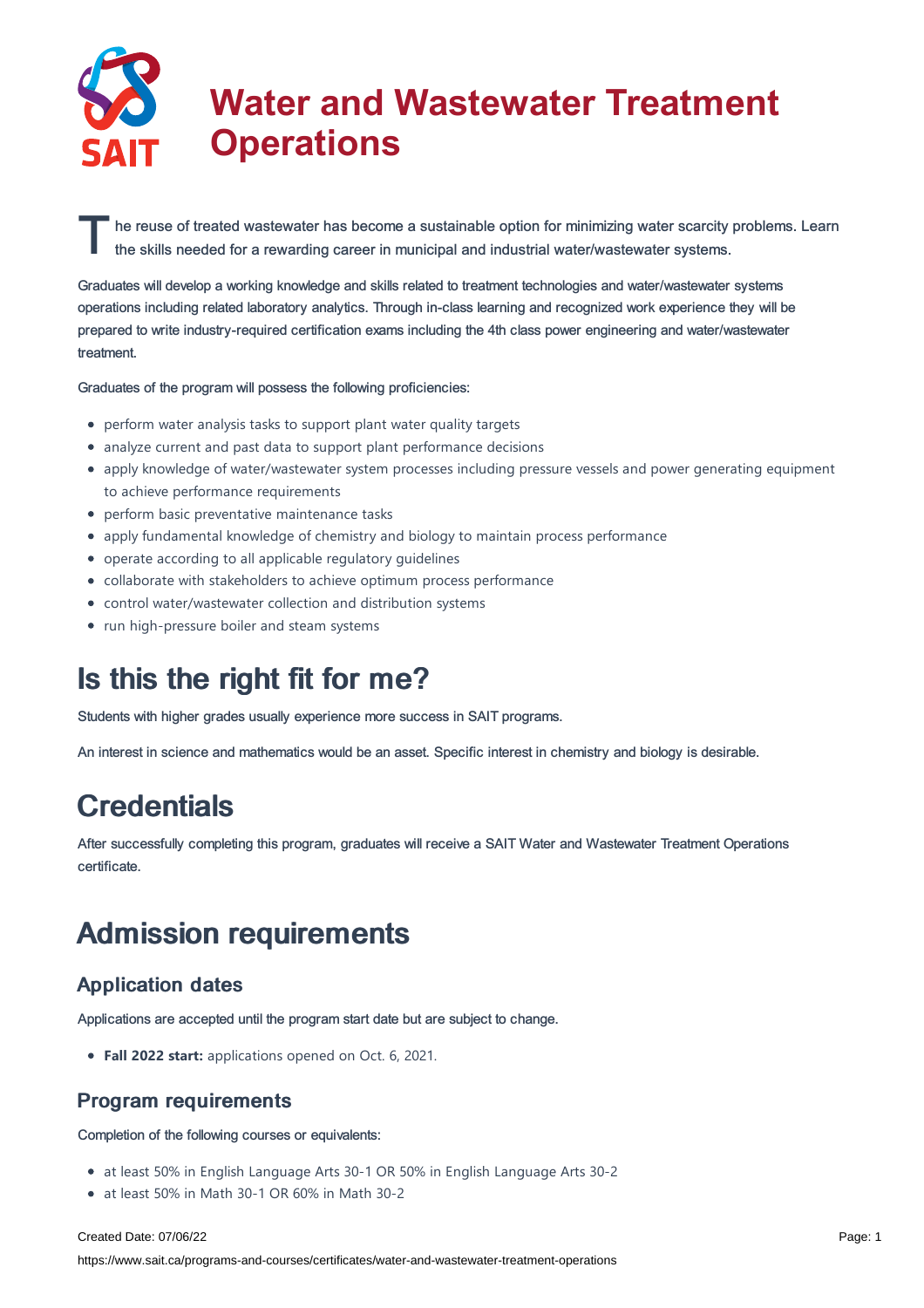

# **Water and Wastewater Treatment Operations**

The reuse of treated wastewater has become a sustainable option for minimizing water scarcity probabilities skills needed for a rewarding career in municipal and industrial water/wastewater systems. he reuse of treated wastewater has become a sustainable option for minimizing water scarcity problems. Learn

Graduates will develop a working knowledge and skills related to treatment technologies and water/wastewater systems operations including related laboratory analytics. Through in-class learning and recognized work experience they will be prepared to write industry-required certification exams including the 4th class power engineering and water/wastewater treatment.

Graduates of the program will possess the following proficiencies:

- perform water analysis tasks to support plant water quality targets
- analyze current and past data to support plant performance decisions
- apply knowledge of water/wastewater system processes including pressure vessels and power generating equipment to achieve performance requirements
- perform basic preventative maintenance tasks
- apply fundamental knowledge of chemistry and biology to maintain process performance
- operate according to all applicable regulatory guidelines
- collaborate with stakeholders to achieve optimum process performance
- control water/wastewater collection and distribution systems
- run high-pressure boiler and steam systems

### Is this the right fit for me?

Students with higher grades usually experience more success in SAIT programs.

An interest in science and mathematics would be an asset. Specific interest in chemistry and biology is desirable.

### **Credentials**

After successfully completing this program, graduates will receive a SAIT Water and Wastewater Treatment Operations certificate.

### Admission requirements

### Application dates

Applications are accepted until the program start date but are subject to change.

**Fall 2022 start:** applications opened on Oct. 6, 2021.

### Program requirements

Completion of the following courses or equivalents:

- at least 50% in English Language Arts 30-1 OR 50% in English Language Arts 30-2
- at least 50% in Math 30-1 OR 60% in Math 30-2

#### Created Date: 07/06/22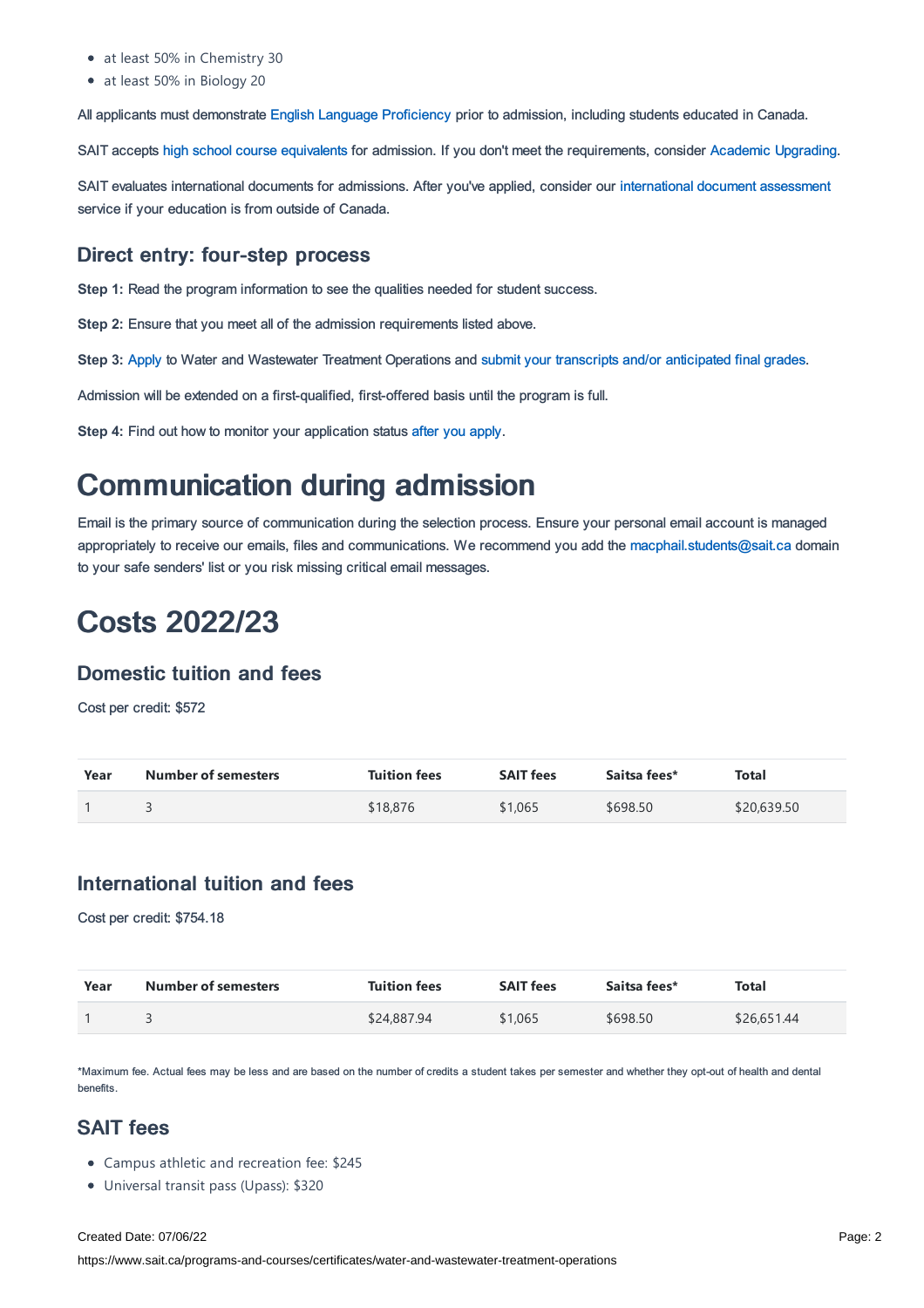- at least 50% in Chemistry 30
- at least 50% in Biology 20

All applicants must demonstrate English Language [Proficiency](https://www.sait.ca/admissions/before-you-apply/english-proficiency) prior to admission, including students educated in Canada.

SAIT accepts high school course [equivalents](https://www.sait.ca/admissions/before-you-apply/high-school-course-equivalencies) for admission. If you don't meet the requirements, consider Academic [Upgrading.](https://www.sait.ca/programs-and-courses/academic-upgrading)

SAIT evaluates international documents for admissions. After you've applied, consider our [international](https://www.sait.ca/admissions/after-you-apply/international-document-assessment) document assessment service if your education is from outside of Canada.

### Direct entry: four-step process

**Step 1:** Read the program information to see the qualities needed for student success.

**Step 2:** Ensure that you meet all of the admission requirements listed above.

**Step 3:** [Apply](https://www.sait.ca/admissions/apply) to Water and Wastewater Treatment Operations and submit your transcripts and/or [anticipated](https://www.sait.ca/admissions/after-you-apply/transcripts-and-supporting-documents) final grades.

Admission will be extended on a first-qualified, first-offered basis until the program is full.

**Step 4:** Find out how to monitor your application status after you [apply](https://www.sait.ca/admissions/after-you-apply/tracking-your-application).

## Communication during admission

Email is the primary source of communication during the selection process. Ensure your personal email account is managed appropriately to receive our emails, files and communications. We recommend you add the [macphail.students@sait.ca](https://sait.camailto:macphail.students@sait.ca) domain to your safe senders' list or you risk missing critical email messages.

## Costs 2022/23

### Domestic tuition and fees

Cost per credit: \$572

| Year | <b>Number of semesters</b> | <b>Tuition fees</b> | <b>SAIT fees</b> | Saitsa fees* | Total       |
|------|----------------------------|---------------------|------------------|--------------|-------------|
|      |                            | \$18,876            | \$1,065          | \$698.50     | \$20,639.50 |

### International tuition and fees

Cost per credit: \$754.18

| Year | <b>Number of semesters</b> | <b>Tuition fees</b> | <b>SAIT fees</b> | Saitsa fees* | Total       |
|------|----------------------------|---------------------|------------------|--------------|-------------|
|      |                            | \$24,887.94         | \$1,065          | \$698.50     | \$26,651.44 |

\*Maximum fee. Actual fees may be less and are based on the number of credits a student takes per semester and whether they opt-out of health and dental benefits.

### SAIT fees

- Campus athletic and recreation fee: \$245
- Universal transit pass (Upass): \$320

#### Created Date: 07/06/22